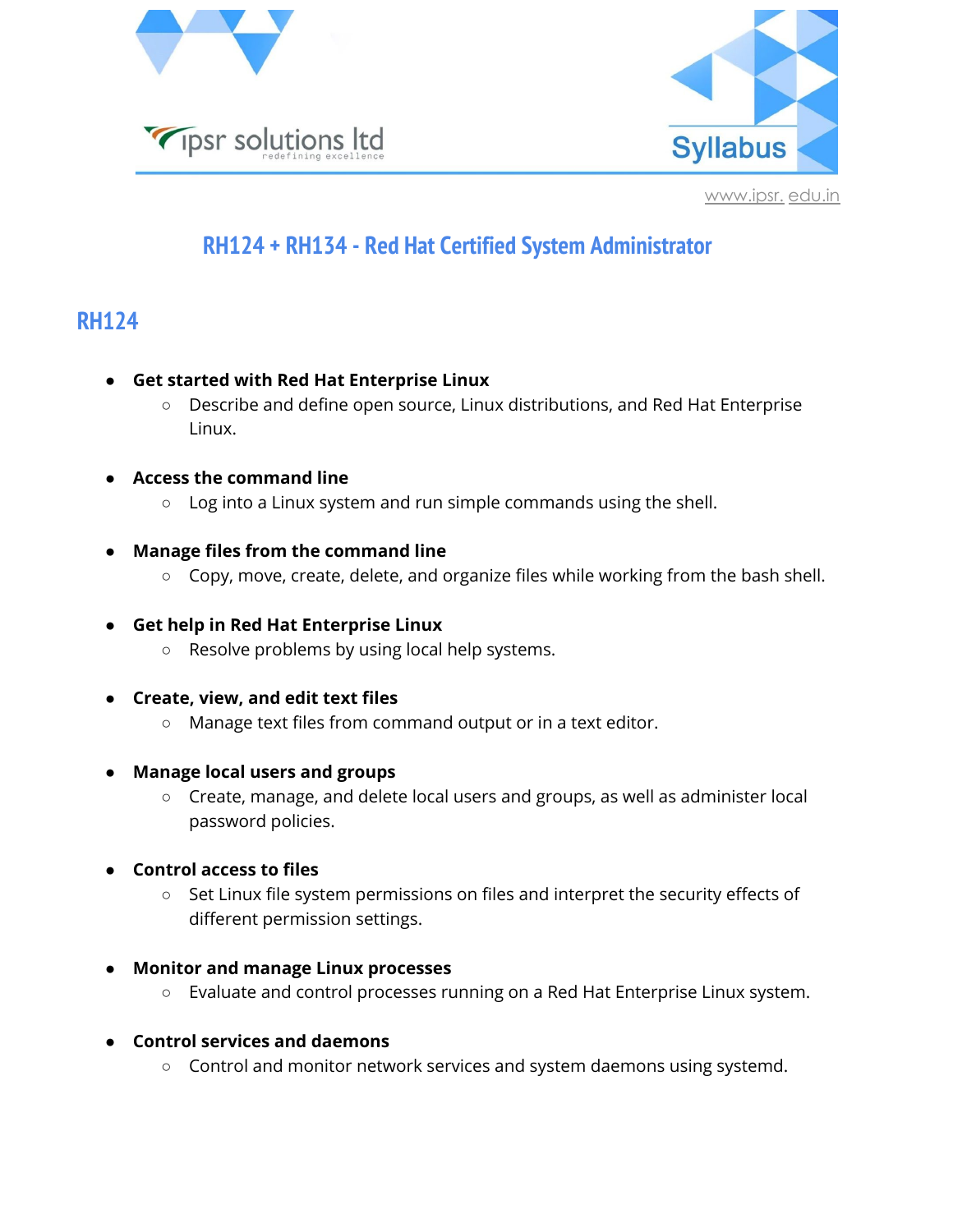



## **RH124 + RH134 - Red Hat Certified System Administrator**

## **RH124**

- **● Get started with Red Hat Enterprise Linux**
	- Describe and define open source, Linux distributions, and Red Hat Enterprise Linux.
- **● Access the command line**
	- Log into a Linux system and run simple commands using the shell.
- **● Manage files from the command line**
	- Copy, move, create, delete, and organize files while working from the bash shell.
- **● Get help in Red Hat Enterprise Linux**
	- Resolve problems by using local help systems.
- **● Create, view, and edit text files**
	- Manage text files from command output or in a text editor.
- **● Manage local users and groups**
	- Create, manage, and delete local users and groups, as well as administer local password policies.
- **● Control access to files**
	- Set Linux file system permissions on files and interpret the security effects of different permission settings.
- **● Monitor and manage Linux processes**
	- Evaluate and control processes running on a Red Hat Enterprise Linux system.
- **● Control services and daemons**
	- Control and monitor network services and system daemons using systemd.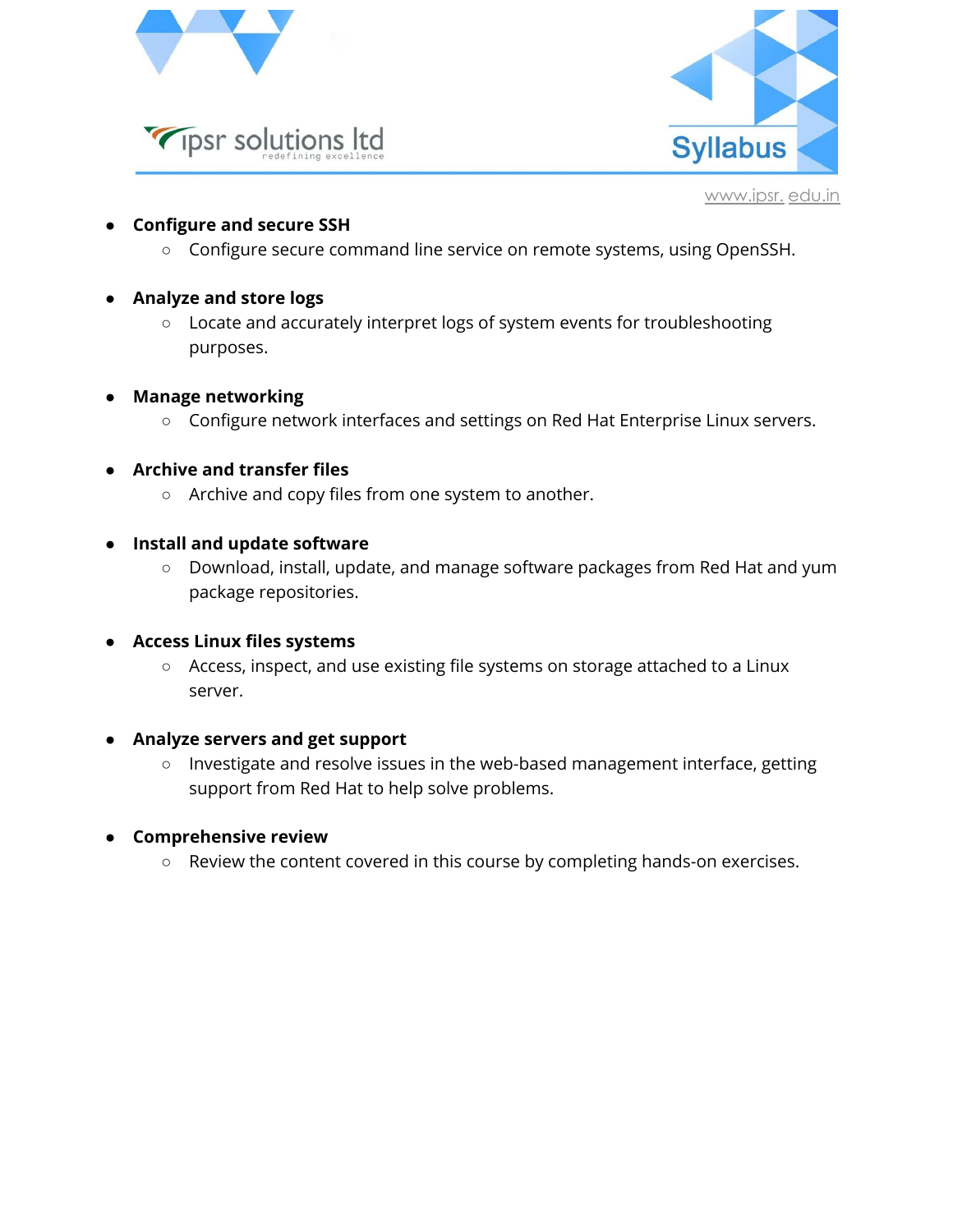



- **● Configure and secure SSH**
	- Configure secure command line service on remote systems, using OpenSSH.
- **● Analyze and store logs**
	- Locate and accurately interpret logs of system events for troubleshooting purposes.
- **● Manage networking**
	- Configure network interfaces and settings on Red Hat Enterprise Linux servers.
- **● Archive and transfer files**
	- Archive and copy files from one system to another.
- **● Install and update software**
	- Download, install, update, and manage software packages from Red Hat and yum package repositories.
- **● Access Linux files systems**
	- Access, inspect, and use existing file systems on storage attached to a Linux server.
- **● Analyze servers and get support**
	- Investigate and resolve issues in the web-based management interface, getting support from Red Hat to help solve problems.
- **● Comprehensive review**
	- Review the content covered in this course by completing hands-on exercises.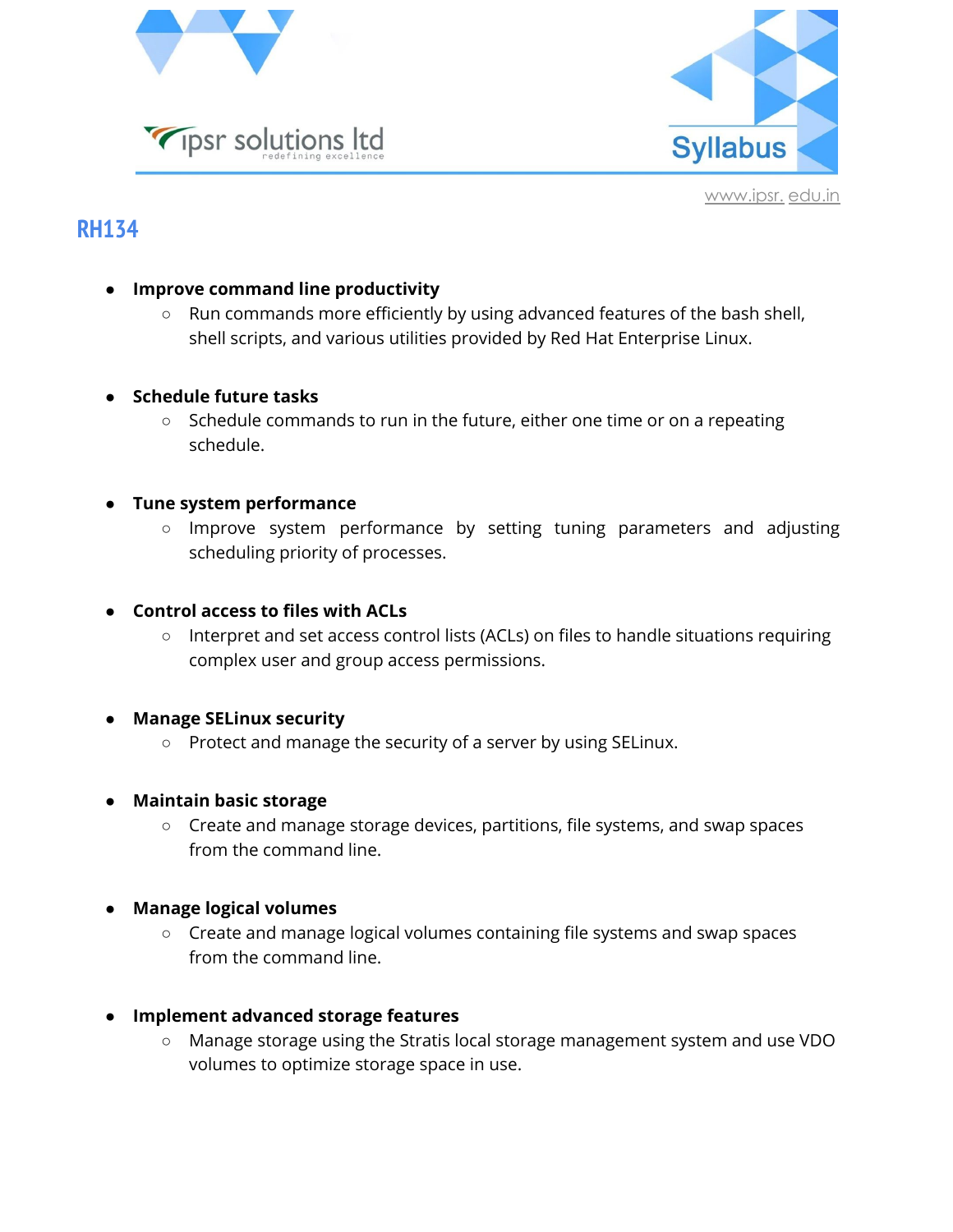



## **RH134**

- **● Improve command line productivity**
	- Run commands more efficiently by using advanced features of the bash shell, shell scripts, and various utilities provided by Red Hat Enterprise Linux.
- **● Schedule future tasks**
	- Schedule commands to run in the future, either one time or on a repeating schedule.
- **● Tune system performance**
	- Improve system performance by setting tuning parameters and adjusting scheduling priority of processes.
- **● Control access to files with ACLs**
	- Interpret and set access control lists (ACLs) on files to handle situations requiring complex user and group access permissions.
- **● Manage SELinux security**
	- Protect and manage the security of a server by using SELinux.
- **● Maintain basic storage**
	- Create and manage storage devices, partitions, file systems, and swap spaces from the command line.
- **● Manage logical volumes**
	- Create and manage logical volumes containing file systems and swap spaces from the command line.
- **● Implement advanced storage features**
	- Manage storage using the Stratis local storage management system and use VDO volumes to optimize storage space in use.